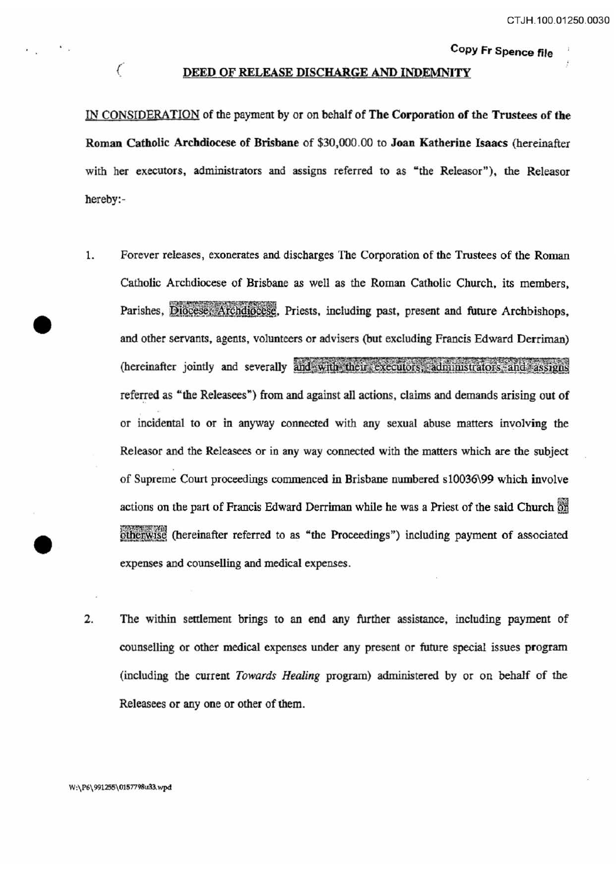Copy Fr Spence file

#### DEED OF RELEASE DISCHARGE AND INDEMNITY

IN CONSIDERATION of the payment by or on behalf of The Corporation of the Trustees of the Roman Catholic Archdiocese of Brisbane of \$30,000.00 to Joan Katherine Isaacs {hereinafter with her executors, administrators and assigns referred to as "the Releasor"), the Releasor hereby:-

- 1. Forever releases, exonerates and discharges The Corporation of the Trustees of the Roman Catholic Archdiocese of Brisbane as well as the Roman Catholic Church, its members, Parishes, Diocese; Archdiocese, Priests, including past, present and future Archbishops, and other servants, agents, volunteers or advisers (but excluding Francis Edward Derriman) (hereinafter jointly and severally and with their executors, administrators and assigns referred as "the Releasees") from and against all actions, claims and demands arising out of or incidental to or in anyway connected with any sexual abuse matters involving the Releaser and the Releasees or in any way connected with the matters which are the subject of Supreme Court proceedings commenced in Brisbane numbered s10036\99 which involve actions on the part of Francis Edward Derriman while he was a Priest of the said Church or otherwise (hereinafter referred to as "the Proceedings") including payment of associated expenses and counselling and medical expenses.
- 2. The within settlement brings to an end any further assistance, including payment of counselling or other medical expenses under any present or future special issues program (including the current *Towards Healing* program) administered by or on behalf of the Releasees or any one or other of them.

*(*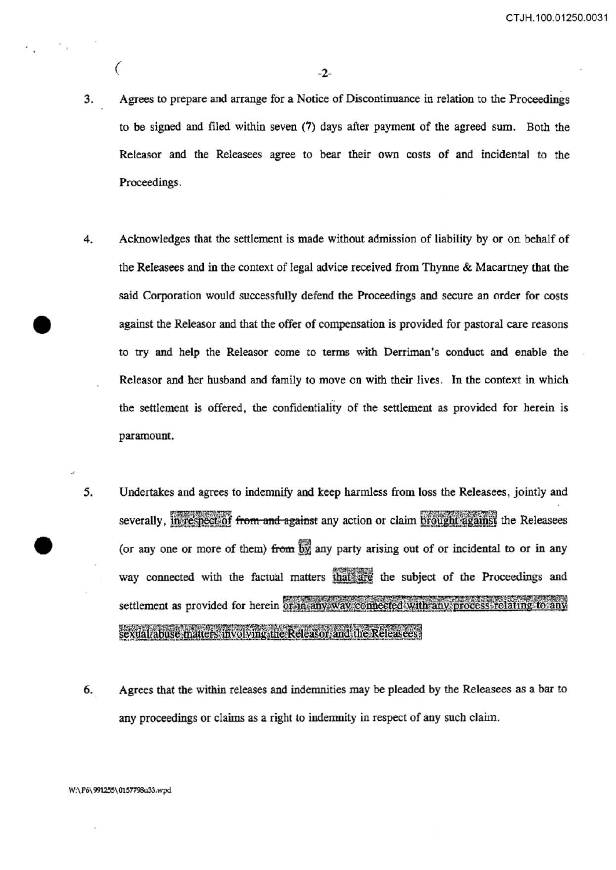CT JH.100.01250.0031

 $($ 

- 3. Agrees to prepare and arrange for a Notice of Discontinuance in relation to the Proceedings to be signed and filed within seven (7) days after payment of the agreed sum. Both the Releasor and the Releasees agree to bear their own costs of and incidental to the Proceedings.
- 4. Acknowledges that the settlement is made without admission of liability by or on behalf of the Releasees and in the context of legal advice received from Thynne & Macartney that the said Corporation would successfully defend the Proceedings and secure an order for costs against the Releasor and that the offer of compensation is provided for pastoral care reasons to try and help the Releasor come to terms with Derriman's conduct and enable the Releasor and her husband and family to move on with their lives. In the context in which the settlement is offered, the confidentiality of the settlement as provided for herein is paramount.
- 5. Undertakes and agrees to indemnify and keep harmless from loss the Releasees, jointly and severally, in respect of from and against any action or claim brought against the Releasees (or any one or more of them) from  $\overrightarrow{by}$  any party arising out of or incidental to or in any way connected with the factual matters that are the subject of the Proceedings and settlement as provided for herein or in any way connected with any process relating to any sexual abuse matters involving the Releasor and the Releasees.
- 6. Agrees that the within releases and indemnities may be pleaded by the Releasees as a bar to any proceedings or claims as a right to indemnity in respect of any such claim.

#### W:\ P6\ 991255\ 0157798u33. wpd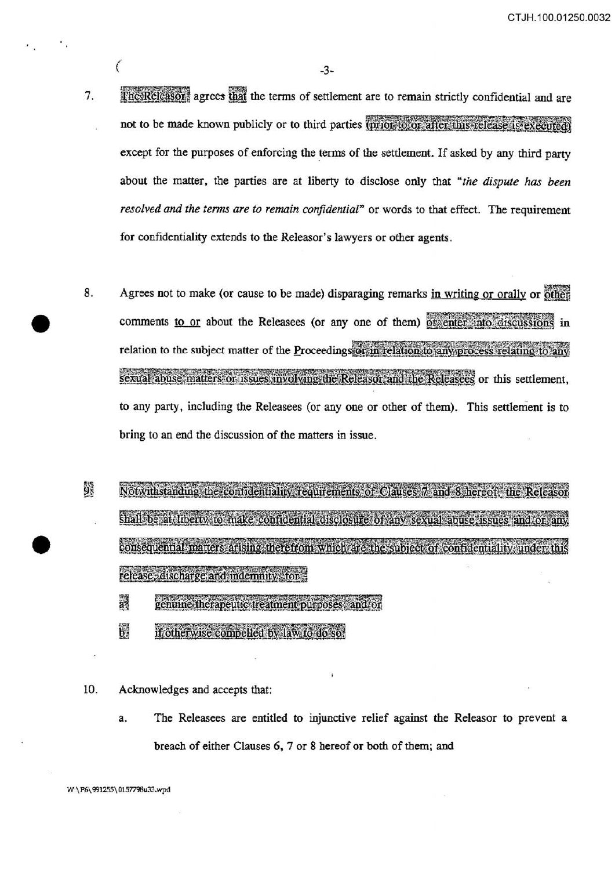CT JH.100.01250.0032

*(* -3-

- 7. The Releason, agrees that the terms of settlement are to remain strictly confidential and are not to be made known publicly or to third parties (prior to or after this release is executed) except for the purposes of enforcing the terms of the settlement. If asked by any third party about the matter, the parties are at liberty to disclose only that *"the dispute has been resolved and the terms are to remain conjidemial"* or words to that effect. The requirement for confidentiality extends to the Releasor's lawyers or other agents.
- 8. Agrees not to make (or cause to be made) disparaging remarks in writing or orally or other comments to or about the Releasees (or any one of them) or enter into discussions in relation to the subject matter of the Proceedings or in relation to any process relating to any sexual abuse matters or issues involving the Releasor and the Releasees or this settlement. to any party, including the Releasees (or any one or other of them). This settlement is to bring to an end the discussion of the matters in issue.
- ģ. Notwithstanding the contidentiality requirements of Clauses 7 and 8 hereof, the Releasor shall be at liberty to make confidential disclosure of any sexual abuse issues and or any consequential matters arising therefrom which are the subject of confidentiality under this release, discharge and indemnity, for
	- ä genuine therapeutic treatment purposes, and/or
	- $\mathbf{b}$ if otherwise compelled by law to do so.
- 10. Acknowledges and accepts that:
	- a. The Releasees are entitled to injunctive relief against the Releasor to prevent a breach of either Clauses 6, 7 or 8 hereof or both of them; and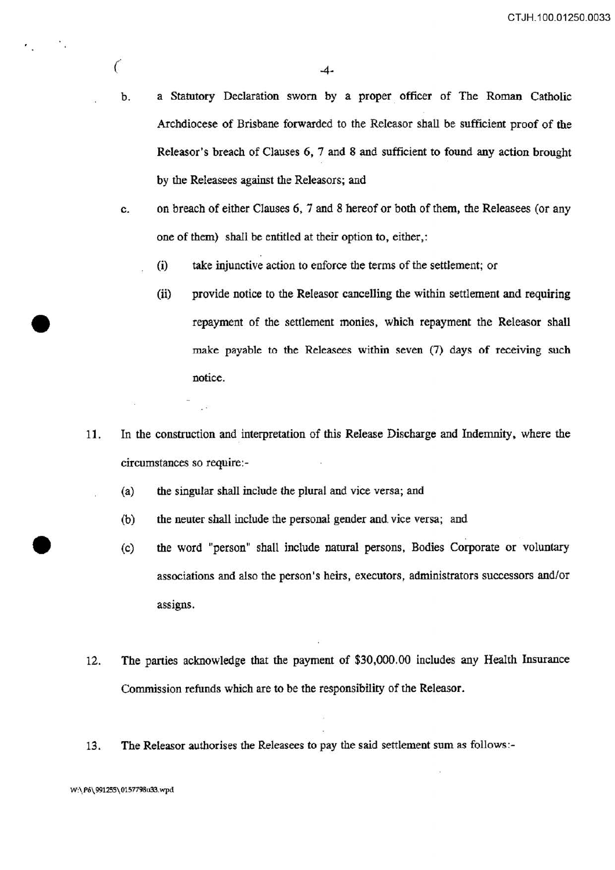- b. a Statutory Declaration sworn by a proper officer of The Roman Catholic Archdiocese of Brisbane forwarded to the Releasor shall be sufficient proof of the Releasor's breach of Clauses 6, 7 and 8 and sufficient to found any action brought by the Releasees against the Releasors; and
- c. on breach of either Clauses 6, 7 and 8 hereof or both of them, the Releasees (or any one of them) shall be entitled at their option to, either,:
	- (i) take injunctive action to enforce the terms of the settlement; or
	- (ii) provide notice to the Releasor cancelling the within settlement and requiring repayment of the settlement monies, which repayment the Releasor shall make payable to the Releasees within seven (7) days of receiving such notice.
- 11. In the construction and interpretation of this Release Discharge and Indemnity, where the circumstances so require:-
	- (a) the singular shall include the plural and vice versa; and
		- (b) the neuter shall include the personal gender and vice versa; and
		- (c) the word "person" shall include natural persons, Bodies Corporate or voluntary associations and also the person's heirs, executors, administrators successors and/or assigns.
- 12. The parties acknowledge that the payment of \$30,000.00 includes any Health Insurance Commission refunds which are to be the responsibility of the Releasor.
- 13. The Releasor authorises the Releasees to pay the said settlement sum as follows:-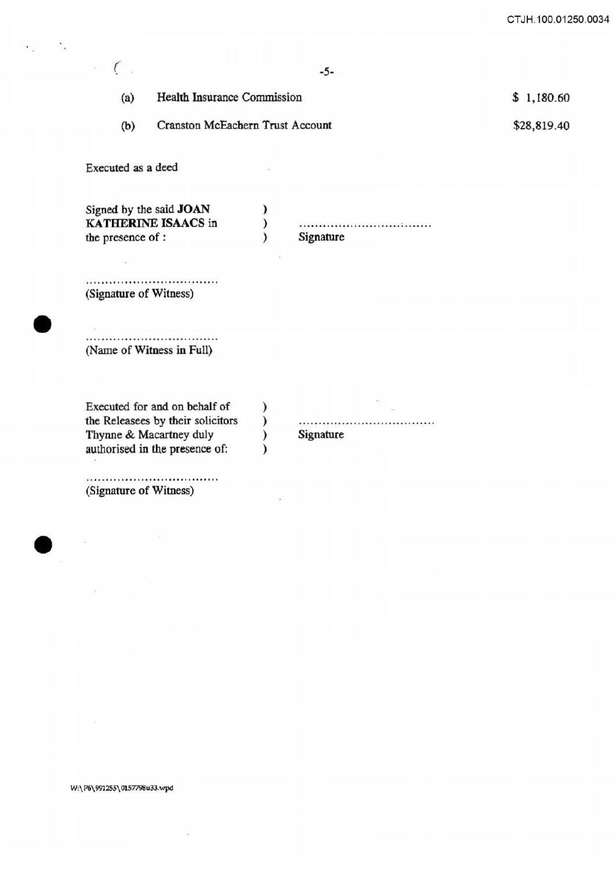CT JH.100.01250.0034

|                                         | $-5-$         |             |
|-----------------------------------------|---------------|-------------|
| Health Insurance Commission<br>(a)      |               | \$1,180.60  |
| Cranston McEachern Trust Account<br>(b) |               | \$28,819.40 |
|                                         |               |             |
| )<br>$\lambda$                          | <br>Signature |             |
|                                         |               |             |
|                                         |               |             |
| )<br>$\mathcal{E}$<br>∖                 | <br>Signature |             |
|                                         |               |             |

#### W:\ P6\99l255\ 0157798u33.wpd

 $\tilde{\kappa}$ 

ý.

 $\epsilon_{\rm p} = \epsilon_{\rm i}$